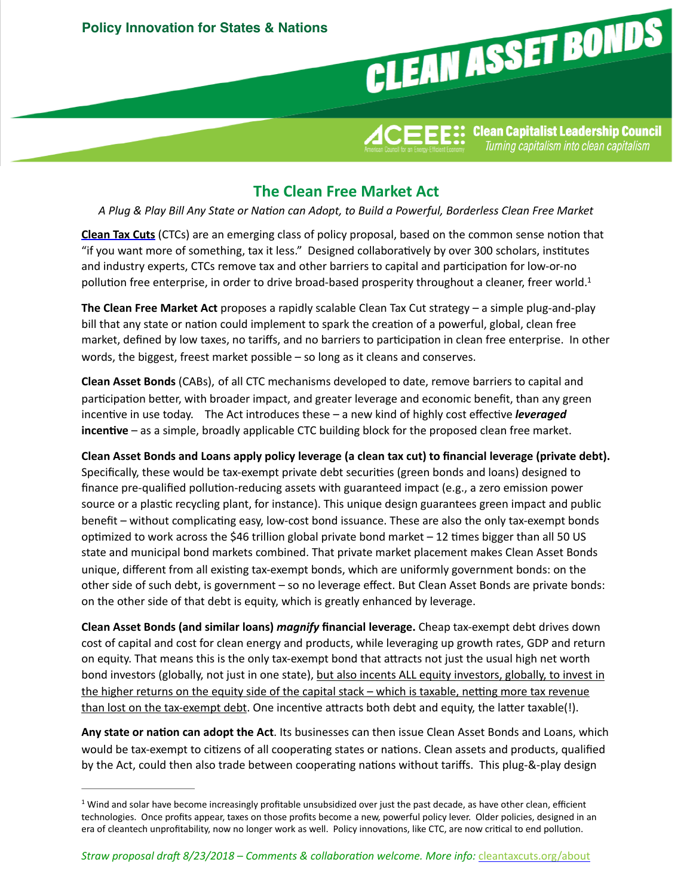

<span id="page-0-1"></span> ${\rm \bf 1 CEEE::}$  Clean Capitalist Leadership Council Turning capitalism into clean capitalism

## **The Clean Free Market Act**

*A Plug & Play Bill Any State or Na3on can Adopt, to Build a Powerful, Borderless Clean Free Market*

**Clean Tax Cuts** (CTCs) are an emerging class of policy proposal, based on the common sense notion that "if you want more of something, tax it less." Designed collaboratively by over 300 scholars, institutes and industry experts, CTCs remove tax and other barriers to capital and participation for low-or-no pollution free enterprise, in order to drive broad-based prosperity throughout a cleaner, freer world.<sup>[1](#page-0-0)</sup>

**The Clean Free Market Act** proposes a rapidly scalable Clean Tax Cut strategy – a simple plug-and-play bill that any state or nation could implement to spark the creation of a powerful, global, clean free market, defined by low taxes, no tariffs, and no barriers to participation in clean free enterprise. In other words, the biggest, freest market possible  $-$  so long as it cleans and conserves.

**Clean Asset Bonds** (CABs), of all CTC mechanisms developed to date, remove barriers to capital and participation better, with broader impact, and greater leverage and economic benefit, than any green incentive in use today. The Act introduces these – a new kind of highly cost effective *leveraged* **incentive** – as a simple, broadly applicable CTC building block for the proposed clean free market.

Clean Asset Bonds and Loans apply policy leverage (a clean tax cut) to financial leverage (private debt). Specifically, these would be tax-exempt private debt securities (green bonds and loans) designed to finance pre-qualified pollution-reducing assets with guaranteed impact (e.g., a zero emission power source or a plastic recycling plant, for instance). This unique design guarantees green impact and public benefit – without complicating easy, low-cost bond issuance. These are also the only tax-exempt bonds optimized to work across the \$46 trillion global private bond market  $-12$  times bigger than all 50 US state and municipal bond markets combined. That private market placement makes Clean Asset Bonds unique, different from all existing tax-exempt bonds, which are uniformly government bonds: on the other side of such debt, is government - so no leverage effect. But Clean Asset Bonds are private bonds: on the other side of that debt is equity, which is greatly enhanced by leverage.

**Clean Asset Bonds (and similar loans)** *magnify* **financial leverage.** Cheap tax-exempt debt drives down cost of capital and cost for clean energy and products, while leveraging up growth rates, GDP and return on equity. That means this is the only tax-exempt bond that attracts not just the usual high net worth bond investors (globally, not just in one state), but also incents ALL equity investors, globally, to invest in the higher returns on the equity side of the capital stack – which is taxable, netting more tax revenue than lost on the tax-exempt debt. One incentive attracts both debt and equity, the latter taxable(!).

Any state or nation can adopt the Act. Its businesses can then issue Clean Asset Bonds and Loans, which would be tax-exempt to citizens of all cooperating states or nations. Clean assets and products, qualified by the Act, could then also trade between cooperating nations without tariffs. This plug-&-play design

<span id="page-0-0"></span> $1$  Wind and solar have become increasingly profitable unsubsidized over just the past decade, as have other clean, efficient technologies. Once profits appear, taxes on those profits become a new, powerful policy lever. Older policies, designed in an era of cleantech unprofitability, now no longer work as well. Policy innovations, like CTC, are now critical to end pollution.